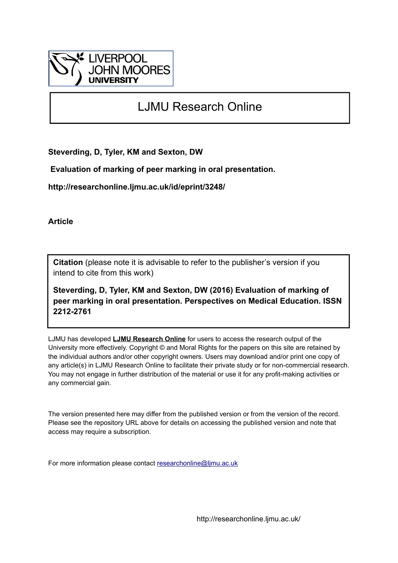

# LJMU Research Online

**Steverding, D, Tyler, KM and Sexton, DW**

 **Evaluation of marking of peer marking in oral presentation.**

**http://researchonline.ljmu.ac.uk/id/eprint/3248/**

**Article**

**Citation** (please note it is advisable to refer to the publisher's version if you intend to cite from this work)

**Steverding, D, Tyler, KM and Sexton, DW (2016) Evaluation of marking of peer marking in oral presentation. Perspectives on Medical Education. ISSN 2212-2761** 

LJMU has developed **[LJMU Research Online](http://researchonline.ljmu.ac.uk/)** for users to access the research output of the University more effectively. Copyright © and Moral Rights for the papers on this site are retained by the individual authors and/or other copyright owners. Users may download and/or print one copy of any article(s) in LJMU Research Online to facilitate their private study or for non-commercial research. You may not engage in further distribution of the material or use it for any profit-making activities or any commercial gain.

The version presented here may differ from the published version or from the version of the record. Please see the repository URL above for details on accessing the published version and note that access may require a subscription.

For more information please contact [researchonline@ljmu.ac.uk](mailto:researchonline@ljmu.ac.uk)

http://researchonline.ljmu.ac.uk/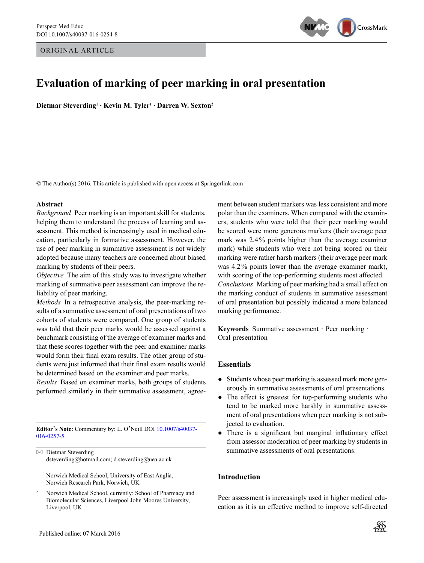

# **Evaluation of marking of peer marking in oral presentation**

**Dietmar Steverding1 · Kevin M. Tyler1 · Darren W. Sexton2**

© The Author(s) 2016. This article is published with open access at Springerlink.com

#### **Abstract**

*Background* Peer marking is an important skill for students, helping them to understand the process of learning and assessment. This method is increasingly used in medical education, particularly in formative assessment. However, the use of peer marking in summative assessment is not widely adopted because many teachers are concerned about biased marking by students of their peers.

*Objective* The aim of this study was to investigate whether marking of summative peer assessment can improve the reliability of peer marking.

*Methods* In a retrospective analysis, the peer-marking results of a summative assessment of oral presentations of two cohorts of students were compared. One group of students was told that their peer marks would be assessed against a benchmark consisting of the average of examiner marks and that these scores together with the peer and examiner marks would form their final exam results. The other group of students were just informed that their final exam results would be determined based on the examiner and peer marks.

*Results* Based on examiner marks, both groups of students performed similarly in their summative assessment, agree-

**Editor**'**s Note:** Commentary by: L. O'Neill DOI [10.1007/s40037-](http://dx.doi.org/10.1007/s40037-016-0257-5) [016-0257-5](http://dx.doi.org/10.1007/s40037-016-0257-5).

 $\boxtimes$  Dietmar Steverding dsteverding@hotmail.com; d.steverding@uea.ac.uk

- Norwich Medical School, University of East Anglia, Norwich Research Park, Norwich, UK
- <sup>2</sup> Norwich Medical School, currently: School of Pharmacy and Biomolecular Sciences, Liverpool John Moores University, Liverpool, UK

ment between student markers was less consistent and more polar than the examiners. When compared with the examiners, students who were told that their peer marking would be scored were more generous markers (their average peer mark was 2.4% points higher than the average examiner mark) while students who were not being scored on their marking were rather harsh markers (their average peer mark was 4.2% points lower than the average examiner mark), with scoring of the top-performing students most affected. *Conclusions* Marking of peer marking had a small effect on the marking conduct of students in summative assessment of oral presentation but possibly indicated a more balanced marking performance.

**Keywords** Summative assessment · Peer marking · Oral presentation

# **Essentials**

- Students whose peer marking is assessed mark more generously in summative assessments of oral presentations.
- The effect is greatest for top-performing students who tend to be marked more harshly in summative assessment of oral presentations when peer marking is not subjected to evaluation.
- There is a significant but marginal inflationary effect from assessor moderation of peer marking by students in summative assessments of oral presentations.

# **Introduction**

Peer assessment is increasingly used in higher medical education as it is an effective method to improve self-directed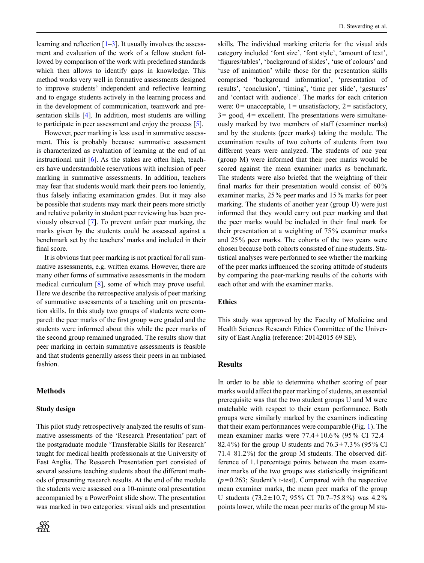learning and reflection  $[1-3]$  $[1-3]$ . It usually involves the assessment and evaluation of the work of a fellow student followed by comparison of the work with predefined standards which then allows to identify gaps in knowledge. This method works very well in formative assessments designed to improve students' independent and reflective learning and to engage students actively in the learning process and in the development of communication, teamwork and presentation skills [[4](#page-5-2)]. In addition, most students are willing to participate in peer assessment and enjoy the process [[5](#page-5-3)].

However, peer marking is less used in summative assessment. This is probably because summative assessment is characterized as evaluation of learning at the end of an instructional unit  $[6]$  $[6]$  $[6]$ . As the stakes are often high, teachers have understandable reservations with inclusion of peer marking in summative assessments. In addition, teachers may fear that students would mark their peers too leniently, thus falsely inflating examination grades. But it may also be possible that students may mark their peers more strictly and relative polarity in student peer reviewing has been previously observed [[7](#page-5-5)]. To prevent unfair peer marking, the marks given by the students could be assessed against a benchmark set by the teachers' marks and included in their final score.

It is obvious that peer marking is not practical for all summative assessments, e.g. written exams. However, there are many other forms of summative assessments in the modern medical curriculum [[8\]](#page-5-6), some of which may prove useful. Here we describe the retrospective analysis of peer marking of summative assessments of a teaching unit on presentation skills. In this study two groups of students were compared: the peer marks of the first group were graded and the students were informed about this while the peer marks of the second group remained ungraded. The results show that peer marking in certain summative assessments is feasible and that students generally assess their peers in an unbiased fashion.

# **Methods**

#### **Study design**

This pilot study retrospectively analyzed the results of summative assessments of the 'Research Presentation' part of the postgraduate module 'Transferable Skills for Research' taught for medical health professionals at the University of East Anglia. The Research Presentation part consisted of several sessions teaching students about the different methods of presenting research results. At the end of the module the students were assessed on a 10-minute oral presentation accompanied by a PowerPoint slide show. The presentation was marked in two categories: visual aids and presentation



skills. The individual marking criteria for the visual aids category included 'font size', 'font style', 'amount of text', 'figures/tables', 'background of slides', 'use of colours' and 'use of animation' while those for the presentation skills comprised 'background information', 'presentation of results', 'conclusion', 'timing', 'time per slide', 'gestures' and 'contact with audience'. The marks for each criterion were:  $0=$  unacceptable,  $1=$  unsatisfactory,  $2=$  satisfactory,  $3 = \text{good}, 4 = \text{excellent}.$  The presentations were simultaneously marked by two members of staff (examiner marks) and by the students (peer marks) taking the module. The examination results of two cohorts of students from two different years were analyzed. The students of one year (group M) were informed that their peer marks would be scored against the mean examiner marks as benchmark. The students were also briefed that the weighting of their final marks for their presentation would consist of 60% examiner marks, 25% peer marks and 15% marks for peer marking. The students of another year (group U) were just informed that they would carry out peer marking and that the peer marks would be included in their final mark for their presentation at a weighting of 75% examiner marks and 25% peer marks. The cohorts of the two years were chosen because both cohorts consisted of nine students. Statistical analyses were performed to see whether the marking of the peer marks influenced the scoring attitude of students by comparing the peer-marking results of the cohorts with each other and with the examiner marks.

## **Ethics**

This study was approved by the Faculty of Medicine and Health Sciences Research Ethics Committee of the University of East Anglia (reference: 20142015 69 SE).

# **Results**

In order to be able to determine whether scoring of peer marks would affect the peer marking of students, an essential prerequisite was that the two student groups U and M were matchable with respect to their exam performance. Both groups were similarly marked by the examiners indicating that their exam performances were comparable (Fig. [1\)](#page-3-0). The mean examiner marks were 77.4±10.6% (95% CI 72.4– 82.4%) for the group U students and  $76.3 \pm 7.3$ % (95% CI 71.4–81.2%) for the group M students. The observed difference of 1.1percentage points between the mean examiner marks of the two groups was statistically insignificant (*p*=0.263; Student's t-test). Compared with the respective mean examiner marks, the mean peer marks of the group U students  $(73.2 \pm 10.7; 95\% \text{ CI } 70.7-75.8\%)$  was  $4.2\%$ points lower, while the mean peer marks of the group M stu-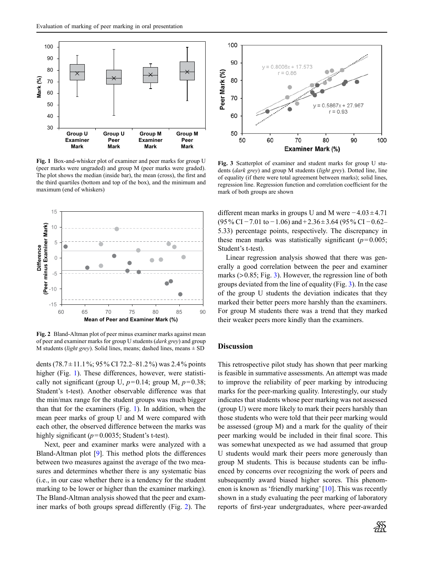<span id="page-3-0"></span>

**Fig. 1** Box-and-whisker plot of examiner and peer marks for group U (peer marks were ungraded) and group M (peer marks were graded). The plot shows the median (inside bar), the mean (cross), the first and the third quartiles (bottom and top of the box), and the minimum and maximum (end of whiskers)

<span id="page-3-2"></span>

**Fig. 2** Bland-Altman plot of peer minus examiner marks against mean of peer and examiner marks for group U students (*dark grey*) and group M students (*light grey*). Solid lines, means; dashed lines, means  $\pm$  SD

dents (78.7 ± 11.1%; 95% CI 72.2–81.2%) was 2.4% points higher (Fig. [1](#page-3-0)). These differences, however, were statistically not significant (group U,  $p=0.14$ ; group M,  $p=0.38$ ; Student's t-test). Another observable difference was that the min/max range for the student groups was much bigger than that for the examiners (Fig. [1](#page-3-0)). In addition, when the mean peer marks of group U and M were compared with each other, the observed difference between the marks was highly significant ( $p=0.0035$ ; Student's t-test).

Next, peer and examiner marks were analyzed with a Bland-Altman plot [[9](#page-5-8)]. This method plots the differences between two measures against the average of the two measures and determines whether there is any systematic bias (i.e., in our case whether there is a tendency for the student marking to be lower or higher than the examiner marking). The Bland-Altman analysis showed that the peer and examiner marks of both groups spread differently (Fig. [2](#page-3-2)). The

<span id="page-3-1"></span>

**Fig. 3** Scatterplot of examiner and student marks for group U students (*dark grey*) and group M students (*light grey*). Dotted line, line of equality (if there were total agreement between marks); solid lines, regression line. Regression function and correlation coefficient for the mark of both groups are shown

different mean marks in groups U and M were  $-4.03 \pm 4.71$  $(95\% \text{ CI} - 7.01 \text{ to} - 1.06)$  and + 2.36 ± 3.64 (95% CI - 0.62– 5.33) percentage points, respectively. The discrepancy in these mean marks was statistically significant  $(p=0.005)$ ; Student's t-test).

Linear regression analysis showed that there was generally a good correlation between the peer and examiner marks  $(>0.85; Fig. 3)$  $(>0.85; Fig. 3)$ . However, the regression line of both groups deviated from the line of equality (Fig. [3\)](#page-3-1). In the case of the group U students the deviation indicates that they marked their better peers more harshly than the examiners. For group M students there was a trend that they marked their weaker peers more kindly than the examiners.

# **Discussion**

This retrospective pilot study has shown that peer marking is feasible in summative assessments. An attempt was made to improve the reliability of peer marking by introducing marks for the peer-marking quality. Interestingly, our study indicates that students whose peer marking was not assessed (group U) were more likely to mark their peers harshly than those students who were told that their peer marking would be assessed (group M) and a mark for the quality of their peer marking would be included in their final score. This was somewhat unexpected as we had assumed that group U students would mark their peers more generously than group M students. This is because students can be influenced by concerns over recognizing the work of peers and subsequently award biased higher scores. This phenomenon is known as 'friendly marking' [[10](#page-5-7)]. This was recently shown in a study evaluating the peer marking of laboratory reports of first-year undergraduates, where peer-awarded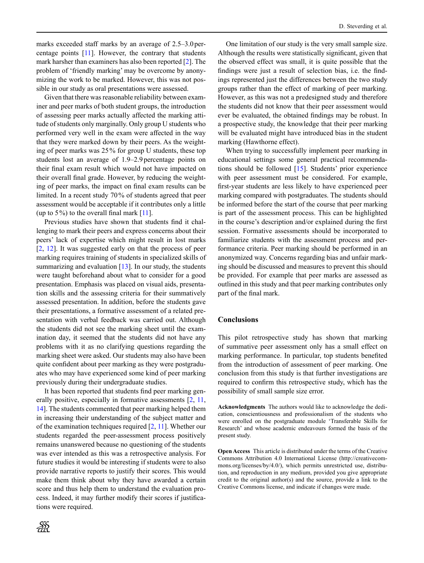marks exceeded staff marks by an average of 2.5–3.0percentage points [[11](#page-5-10)]. However, the contrary that students mark harsher than examiners has also been reported [[2\]](#page-5-11). The problem of 'friendly marking' may be overcome by anonymizing the work to be marked. However, this was not possible in our study as oral presentations were assessed.

Given that there was reasonable reliability between examiner and peer marks of both student groups, the introduction of assessing peer marks actually affected the marking attitude of students only marginally. Only group U students who performed very well in the exam were affected in the way that they were marked down by their peers. As the weighting of peer marks was 25% for group U students, these top students lost an average of 1.9–2.9percentage points on their final exam result which would not have impacted on their overall final grade. However, by reducing the weighting of peer marks, the impact on final exam results can be limited. In a recent study 70% of students agreed that peer assessment would be acceptable if it contributes only a little (up to 5%) to the overall final mark  $[11]$  $[11]$  $[11]$ .

Previous studies have shown that students find it challenging to mark their peers and express concerns about their peers' lack of expertise which might result in lost marks [[2](#page-5-11), [12](#page-5-12)]. It was suggested early on that the process of peer marking requires training of students in specialized skills of summarizing and evaluation  $[13]$  $[13]$  $[13]$ . In our study, the students were taught beforehand about what to consider for a good presentation. Emphasis was placed on visual aids, presentation skills and the assessing criteria for their summatively assessed presentation. In addition, before the students gave their presentations, a formative assessment of a related presentation with verbal feedback was carried out. Although the students did not see the marking sheet until the examination day, it seemed that the students did not have any problems with it as no clarifying questions regarding the marking sheet were asked. Our students may also have been quite confident about peer marking as they were postgraduates who may have experienced some kind of peer marking previously during their undergraduate studies.

It has been reported that students find peer marking generally positive, especially in formative assessments  $[2, 11, 11]$  $[2, 11, 11]$  $[2, 11, 11]$  $[2, 11, 11]$  $[2, 11, 11]$ [14](#page-5-14)]. The students commented that peer marking helped them in increasing their understanding of the subject matter and of the examination techniques required [[2,](#page-5-11) [11](#page-5-10)]. Whether our students regarded the peer-assessment process positively remains unanswered because no questioning of the students was ever intended as this was a retrospective analysis. For future studies it would be interesting if students were to also provide narrative reports to justify their scores. This would make them think about why they have awarded a certain score and thus help them to understand the evaluation process. Indeed, it may further modify their scores if justifications were required.

One limitation of our study is the very small sample size. Although the results were statistically significant, given that the observed effect was small, it is quite possible that the findings were just a result of selection bias, i.e. the findings represented just the differences between the two study groups rather than the effect of marking of peer marking. However, as this was not a predesigned study and therefore the students did not know that their peer assessment would ever be evaluated, the obtained findings may be robust. In a prospective study, the knowledge that their peer marking will be evaluated might have introduced bias in the student marking (Hawthorne effect).

When trying to successfully implement peer marking in educational settings some general practical recommendations should be followed [[15\]](#page-5-9). Students' prior experience with peer assessment must be considered. For example, first-year students are less likely to have experienced peer marking compared with postgraduates. The students should be informed before the start of the course that peer marking is part of the assessment process. This can be highlighted in the course's description and/or explained during the first session. Formative assessments should be incorporated to familiarize students with the assessment process and performance criteria. Peer marking should be performed in an anonymized way. Concerns regarding bias and unfair marking should be discussed and measures to prevent this should be provided. For example that peer marks are assessed as outlined in this study and that peer marking contributes only part of the final mark.

# **Conclusions**

This pilot retrospective study has shown that marking of summative peer assessment only has a small effect on marking performance. In particular, top students benefited from the introduction of assessment of peer marking. One conclusion from this study is that further investigations are required to confirm this retrospective study, which has the possibility of small sample size error.

**Acknowledgments** The authors would like to acknowledge the dedication, conscientiousness and professionalism of the students who were enrolled on the postgraduate module 'Transferable Skills for Research' and whose academic endeavours formed the basis of the present study.

**Open Access** This article is distributed under the terms of the Creative Commons Attribution 4.0 International License (http://creativecommons.org/licenses/by/4.0/), which permits unrestricted use, distribution, and reproduction in any medium, provided you give appropriate credit to the original author(s) and the source, provide a link to the Creative Commons license, and indicate if changes were made.